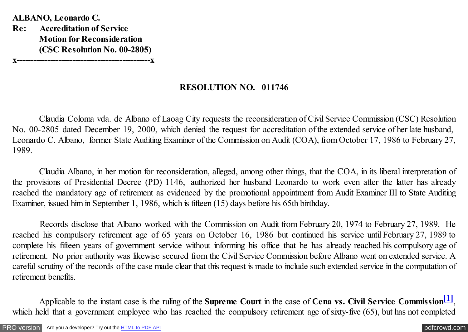<span id="page-0-0"></span>**ALBANO, Leonardo C. Re: Accreditation of Service Motion for Reconsideration (CSC Resolution No. 00-2805) x------------------------------------------------x**

## **RESOLUTION NO. 011746**

Claudia Coloma vda. de Albano of Laoag City requests the reconsideration of Civil Service Commission (CSC) Resolution No. 00-2805 dated December 19, 2000, which denied the request for accreditation of the extended service of her late husband, Leonardo C. Albano, former State Auditing Examiner of the Commission on Audit (COA), from October 17, 1986 to February 27, 1989.

Claudia Albano, in her motion for reconsideration, alleged, among other things, that the COA, in its liberal interpretation of the provisions of Presidential Decree (PD) 1146, authorized her husband Leonardo to work even after the latter has already reached the mandatory age of retirement as evidenced by the promotional appointment from Audit Examiner III to State Auditing Examiner, issued him in September 1, 1986, which is fifteen (15) days before his 65th birthday.

 Records disclose that Albano worked with the Commission on Audit from February 20, 1974 to February 27, 1989. He reached his compulsory retirement age of 65 years on October 16, 1986 but continued his service until February 27, 1989 to complete his fifteen years of government service without informing his office that he has already reached his compulsory age of retirement. No prior authority was likewise secured from the Civil Service Commission before Albano went on extended service. A careful scrutiny of the records of the case made clear that this request is made to include such extended service in the computation of retirement benefits.

Applicable to the instant case is the ruling of the **Supreme Court** in the case of **Cena vs. Civil Service Commission**<sup>[1]</sup>, which held that a government employee who has reached the compulsory retirement age of sixty-five (65), but has not completed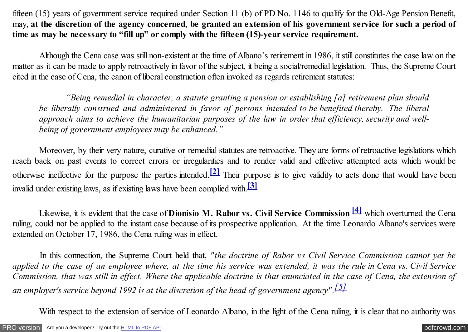<span id="page-1-0"></span>fifteen (15) years of government service required under Section 11 (b) of PD No. 1146 to qualify for the Old-Age Pension Benefit, may, **at the discretion of the agency concerned**, **be granted an extension of his government service for such a period of time as may be necessary to "fill up" or comply with the fifteen (15)-year service requirement.**

 Although the Cena case was still non-existent at the time of Albano's retirement in 1986, it still constitutes the case law on the matter as it can be made to apply retroactively in favor of the subject, it being a social/remedial legislation. Thus, the Supreme Court cited in the case of Cena, the canon of liberal construction often invoked as regards retirement statutes:

 *"Being remedial in character, a statute granting a pension or establishing [a] retirement plan should be liberally construed and administered in favor of persons intended to be benefited thereby. The liberal approach aims to achieve the humanitarian purposes of the law in order that efficiency, security and wellbeing of government employees may be enhanced."*

 Moreover, by their very nature, curative or remedial statutes are retroactive. They are forms of retroactive legislations which reach back on past events to correct errors or irregularities and to render valid and effective attempted acts which would be otherwise ineffective for the purpose the parties intended.**[\[2\]](#page-3-0)** Their purpose is to give validity to acts done that would have been invalid under existing laws, as if existing laws have been complied with.**[\[3\]](#page-4-0)**

 Likewise, it is evident that the case of **Dionisio M. Rabor vs. Civil Service Commission [\[4\]](#page-4-0)** which overturned the Cena ruling, could not be applied to the instant case because of its prospective application. At the time Leonardo Albano's services were extended on October 17, 1986, the Cena ruling was in effect.

 In this connection, the Supreme Court held that, *"the doctrine of Rabor vs Civil Service Commission cannot yet be applied to the case of an employee where, at the time his service was extended, it was the rule in Cena vs. Civil Service Commission, that was still in effect. Where the applicable doctrine is that enunciated in the case of Cena, the extension of an employer's service beyond 1992 is at the discretion of the head of government agency"[.\[5\]](#page-4-0)*

With respect to the extension of service of Leonardo Albano, in the light of the Cena ruling, it is clear that no authority was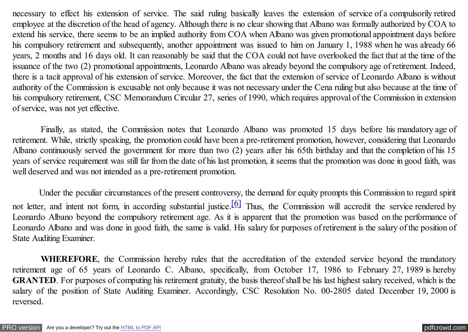<span id="page-2-0"></span>necessary to effect his extension of service. The said ruling basically leaves the extension of service of a compulsorily retired employee at the discretion of the head of agency. Although there is no clear showing that Albano was formally authorized by COA to extend his service, there seems to be an implied authority from COA when Albano was given promotional appointment days before his compulsory retirement and subsequently, another appointment was issued to him on January 1, 1988 when he was already 66 years, 2 months and 16 days old. It can reasonably be said that the COA could not have overlooked the fact that at the time of the issuance of the two (2) promotional appointments, Leonardo Albano was already beyond the compulsory age of retirement. Indeed, there is a tacit approval of his extension of service. Moreover, the fact that the extension of service of Leonardo Albano is without authority of the Commission is excusable not only because it was not necessary under the Cena ruling but also because at the time of his compulsory retirement, CSC Memorandum Circular 27, series of 1990, which requires approval of the Commission in extension of service, was not yet effective.

 Finally, as stated, the Commission notes that Leonardo Albano was promoted 15 days before his mandatory age of retirement. While, strictly speaking, the promotion could have been a pre-retirement promotion, however, considering that Leonardo Albano continuously served the government for more than two (2) years after his 65th birthday and that the completion of his 15 years of service requirement was still far from the date of his last promotion, it seems that the promotion was done in good faith, was well deserved and was not intended as a pre-retirement promotion.

Under the peculiar circumstances of the present controversy, the demand for equity prompts this Commission to regard spirit not letter, and intent not form, in according substantial justice.<sup>[6]</sup> Thus, the Commission will accredit the service rendered by Leonardo Albano beyond the compulsory retirement age. As it is apparent that the promotion was based on the performance of Leonardo Albano and was done in good faith, the same is valid. His salary for purposes of retirement is the salary of the position of State Auditing Examiner.

 **WHEREFORE**, the Commission hereby rules that the accreditation of the extended service beyond the mandatory retirement age of 65 years of Leonardo C. Albano, specifically, from October 17, 1986 to February 27, 1989 is hereby **GRANTED**. For purposes of computing his retirement gratuity, the basis thereof shall be his last highest salary received, which is the salary of the position of State Auditing Examiner. Accordingly, CSC Resolution No. 00-2805 dated December 19, 2000 is reversed.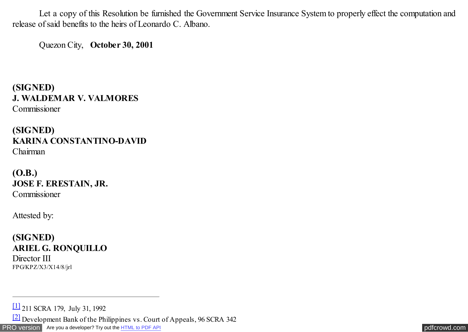<span id="page-3-0"></span> Let a copy of this Resolution be furnished the Government Service Insurance System to properly effect the computation and release of said benefits to the heirs of Leonardo C. Albano.

Quezon City, **October 30, 2001** 

**(SIGNED) J. WALDEMAR V. VALMORES** Commissioner

**(SIGNED) KARINA CONSTANTINO-DAVID** Chairman

**(O.B.) JOSE F. ERESTAIN, JR.** Commissioner

Attested by:

**(SIGNED) ARIEL G. RONQUILLO** Director III FPG/KPZ/X3/X14/8/jrl

[PRO version](http://pdfcrowd.com/customize/) Are you a developer? Try out th[e HTML to PDF API](http://pdfcrowd.com/html-to-pdf-api/?ref=pdf) **produces** and the extent of the ATML to PDF API [pdfcrowd.com](http://pdfcrowd.com) [\[1\]](#page-0-0) 211 SCRA 179, July 31, 1992 [\[2\]](#page-1-0) Development Bank of the Philippines vs. Court of Appeals, 96 SCRA 342